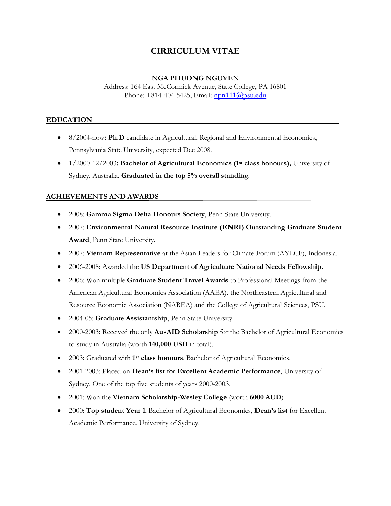# **CIRRICULUM VITAE**

### **NGA PHUONG NGUYEN**

Address: 164 East McCormick Avenue, State College, PA 16801 Phone:  $+814-404-5425$ , Email: [npn111@psu.edu](mailto:npn111@psu.edu)

## **EDUCATION**

- · 8/2004-now**: Ph.D** candidate in Agricultural, Regional and Environmental Economics, Pennsylvania State University, expected Dec 2008.
- · 1/2000-12/2003**: Bachelor of Agricultural Economics (1 st class honours),** University of Sydney, Australia. **Graduated in the top 5% overall standing**.

# **ACHIEVEMENTS AND AWARDS**

- · 2008: **Gamma Sigma Delta Honours Society**, Penn State University.
- · 2007: **Environmental Natural Resource Institute (ENRI) Outstanding Graduate Student Award**, Penn State University.
- · 2007: **Vietnam Representative** at the Asian Leaders for Climate Forum (AYLCF), Indonesia.
- · 2006-2008: Awarded the **US Department of Agriculture National Needs Fellowship.**
- · 2006: Won multiple **Graduate Student Travel Awards** to Professional Meetings from the American Agricultural Economics Association (AAEA), the Northeastern Agricultural and Resource Economic Association (NAREA) and the College of Agricultural Sciences, PSU.
- · 2004-05: **Graduate Assistantship**, Penn State University.
- · 2000-2003: Received the only **AusAID Scholarship** for the Bachelor of Agricultural Economics to study in Australia (worth **140,000 USD** in total).
- 2003: Graduated with 1<sup>st</sup> class honours, Bachelor of Agricultural Economics.
- · 2001-2003: Placed on **Dean's list for Excellent Academic Performance**, University of Sydney. One of the top five students of years 2000-2003.
- · 2001: Won the **Vietnam Scholarship-Wesley College** (worth **6000 AUD**)
- · 2000: **Top student Year 1**, Bachelor of Agricultural Economics, **Dean's list** for Excellent Academic Performance, University of Sydney.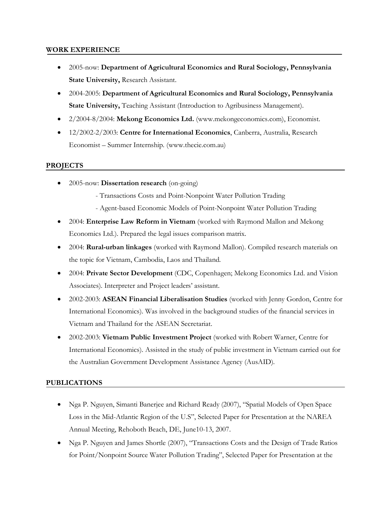### **WORK EXPERIENCE**

- · 2005-now: **Department of Agricultural Economics and Rural Sociology, Pennsylvania State University,** Research Assistant.
- · 2004-2005: **Department of Agricultural Economics and Rural Sociology, Pennsylvania State University,** Teaching Assistant (Introduction to Agribusiness Management).
- · 2/2004-8/2004: **Mekong Economics Ltd.** (www.mekongeconomics.com), Economist.
- · 12/2002-2/2003: **Centre for International Economics**, Canberra, Australia, Research Economist – Summer Internship. (www.thecie.com.au)

# **PROJECTS**

- · 2005-now: **Dissertation research** (on-going)
	- Transactions Costs and Point-Nonpoint Water Pollution Trading
	- Agent-based Economic Models of Point-Nonpoint Water Pollution Trading
- · 2004: **Enterprise Law Reform in Vietnam** (worked with Raymond Mallon and Mekong Economics Ltd.). Prepared the legal issues comparison matrix.
- · 2004: **Rural-urban linkages** (worked with Raymond Mallon). Compiled research materials on the topic for Vietnam, Cambodia, Laos and Thailand.
- · 2004: **Private Sector Development** (CDC, Copenhagen; Mekong Economics Ltd. and Vision Associates). Interpreter and Project leaders' assistant.
- · 2002-2003: **ASEAN Financial Liberalisation Studies** (worked with Jenny Gordon, Centre for International Economics). Was involved in the background studies of the financial services in Vietnam and Thailand for the ASEAN Secretariat.
- · 2002-2003: **Vietnam Public Investment Project** (worked with Robert Warner, Centre for International Economics). Assisted in the study of public investment in Vietnam carried out for the Australian Government Development Assistance Agency (AusAID).

# **PUBLICATIONS**

- · Nga P. Nguyen, Simanti Banerjee and Richard Ready (2007), "Spatial Models of Open Space Loss in the Mid-Atlantic Region of the U.S", Selected Paper for Presentation at the NAREA Annual Meeting, Rehoboth Beach, DE, June10-13, 2007.
- · Nga P. Nguyen and James Shortle (2007), "Transactions Costs and the Design of Trade Ratios for Point/Nonpoint Source Water Pollution Trading", Selected Paper for Presentation at the